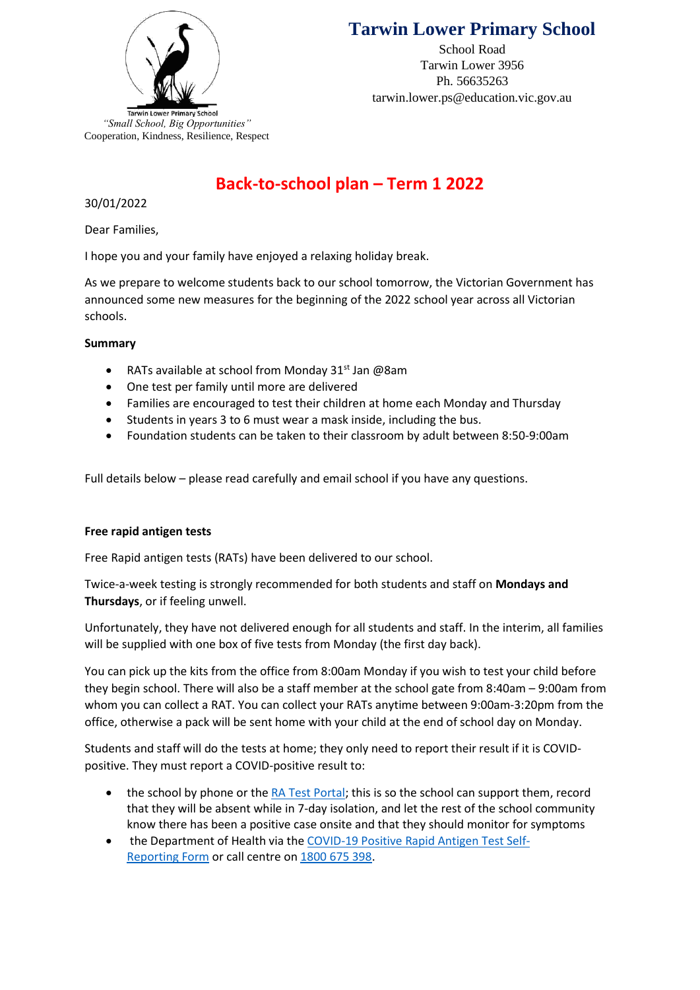

School Road Tarwin Lower 3956 Ph. 56635263 tarwin.lower.ps@education.vic.gov.au



# **Back-to-school plan – Term 1 2022**

# 30/01/2022

Dear Families,

I hope you and your family have enjoyed a relaxing holiday break.

As we prepare to welcome students back to our school tomorrow, the Victorian Government has announced some new measures for the beginning of the 2022 school year across all Victorian schools.

## **Summary**

- RATs available at school from Monday 31<sup>st</sup> Jan @8am
- One test per family until more are delivered
- Families are encouraged to test their children at home each Monday and Thursday
- Students in years 3 to 6 must wear a mask inside, including the bus.
- Foundation students can be taken to their classroom by adult between 8:50-9:00am

Full details below – please read carefully and email school if you have any questions.

# **Free rapid antigen tests**

Free Rapid antigen tests (RATs) have been delivered to our school.

Twice-a-week testing is strongly recommended for both students and staff on **Mondays and Thursdays**, or if feeling unwell.

Unfortunately, they have not delivered enough for all students and staff. In the interim, all families will be supplied with one box of five tests from Monday (the first day back).

You can pick up the kits from the office from 8:00am Monday if you wish to test your child before they begin school. There will also be a staff member at the school gate from 8:40am – 9:00am from whom you can collect a RAT. You can collect your RATs anytime between 9:00am-3:20pm from the office, otherwise a pack will be sent home with your child at the end of school day on Monday.

Students and staff will do the tests at home; they only need to report their result if it is COVIDpositive. They must report a COVID-positive result to:

- the school by phone or the RA [Test Portal;](https://covidtest.educationapps.vic.gov.au/) this is so the school can support them, record that they will be absent while in 7-day isolation, and let the rest of the school community know there has been a positive case onsite and that they should monitor for symptoms
- the Department of Health via the [COVID-19 Positive Rapid Antigen Test Self-](https://dhvicgovau.powerappsportals.com/rapid-antigen-test/)[Reporting](https://dhvicgovau.powerappsportals.com/rapid-antigen-test/) Form or call centre on [1800 675 398.](tel:1800675398)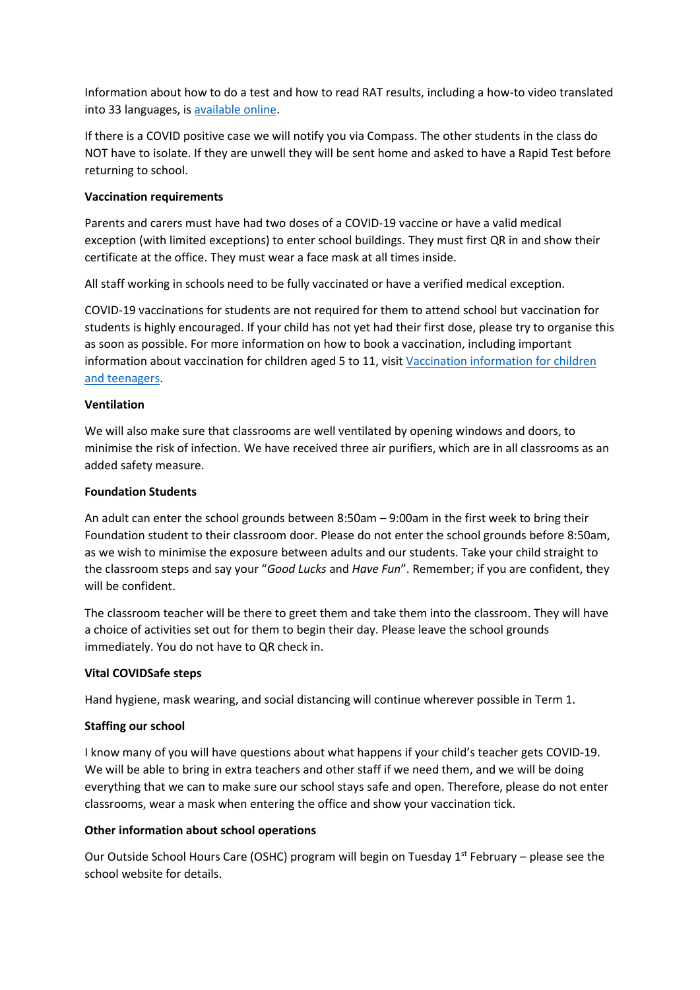Information about how to do a test and how to read RAT results, including a how-to video translated into 33 languages, is [available online.](https://www.coronavirus.vic.gov.au/rapid-antigen-testing-schools)

If there is a COVID positive case we will notify you via Compass. The other students in the class do NOT have to isolate. If they are unwell they will be sent home and asked to have a Rapid Test before returning to school.

## **Vaccination requirements**

Parents and carers must have had two doses of a COVID-19 vaccine or have a valid medical exception (with limited exceptions) to enter school buildings. They must first QR in and show their certificate at the office. They must wear a face mask at all times inside.

All staff working in schools need to be fully vaccinated or have a verified medical exception.

COVID-19 vaccinations for students are not required for them to attend school but vaccination for students is highly encouraged. If your child has not yet had their first dose, please try to organise this as soon as possible. For more information on how to book a vaccination, including important information about vaccination for children aged 5 to 11, visit Vaccination information for children [and teenagers.](https://www.coronavirus.vic.gov.au/vaccination-information-children-and-teenagers)

#### **Ventilation**

We will also make sure that classrooms are well ventilated by opening windows and doors, to minimise the risk of infection. We have received three air purifiers, which are in all classrooms as an added safety measure.

#### **Foundation Students**

An adult can enter the school grounds between 8:50am – 9:00am in the first week to bring their Foundation student to their classroom door. Please do not enter the school grounds before 8:50am, as we wish to minimise the exposure between adults and our students. Take your child straight to the classroom steps and say your "*Good Lucks* and *Have Fun*". Remember; if you are confident, they will be confident.

The classroom teacher will be there to greet them and take them into the classroom. They will have a choice of activities set out for them to begin their day. Please leave the school grounds immediately. You do not have to QR check in.

## **Vital COVIDSafe steps**

Hand hygiene, mask wearing, and social distancing will continue wherever possible in Term 1.

## **Staffing our school**

I know many of you will have questions about what happens if your child's teacher gets COVID-19. We will be able to bring in extra teachers and other staff if we need them, and we will be doing everything that we can to make sure our school stays safe and open. Therefore, please do not enter classrooms, wear a mask when entering the office and show your vaccination tick.

#### **Other information about school operations**

Our Outside School Hours Care (OSHC) program will begin on Tuesday 1<sup>st</sup> February - please see the school website for details.